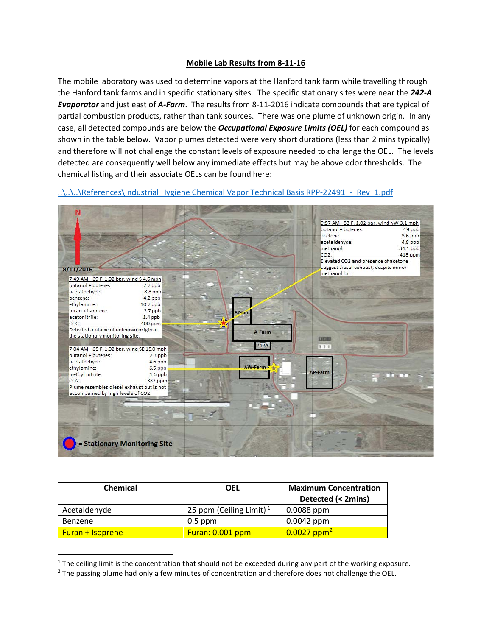## **Mobile Lab Results from 8-11-16**

The mobile laboratory was used to determine vapors at the Hanford tank farm while travelling through the Hanford tank farms and in specific stationary sites. The specific stationary sites were near the *242-A Evaporator* and just east of *A-Farm*. The results from 8-11-2016 indicate compounds that are typical of partial combustion products, rather than tank sources. There was one plume of unknown origin. In any case, all detected compounds are below the *Occupational Exposure Limits (OEL)* for each compound as shown in the table below. Vapor plumes detected were very short durations (less than 2 mins typically) and therefore will not challenge the constant levels of exposure needed to challenge the OEL. The levels detected are consequently well below any immediate effects but may be above odor thresholds. The chemical listing and their associate OELs can be found here:

..\..\..\References\Industrial Hygiene Chemical Vapor Technical Basis RPP-22491 - Rev\_1.pdf



| Chemical                | OEL                        | <b>Maximum Concentration</b><br>Detected (< 2mins) |
|-------------------------|----------------------------|----------------------------------------------------|
| Acetaldehyde            | 25 ppm (Ceiling Limit) $1$ | $0.0088$ ppm                                       |
| Benzene                 | $0.5$ ppm                  | $0.0042$ ppm                                       |
| <b>Furan + Isoprene</b> | Furan: 0.001 ppm           | $0.0027$ ppm <sup>2</sup>                          |

<span id="page-0-0"></span><sup>&</sup>lt;sup>1</sup> The ceiling limit is the concentration that should not be exceeded during any part of the working exposure.

<span id="page-0-1"></span><sup>&</sup>lt;sup>2</sup> The passing plume had only a few minutes of concentration and therefore does not challenge the OEL.